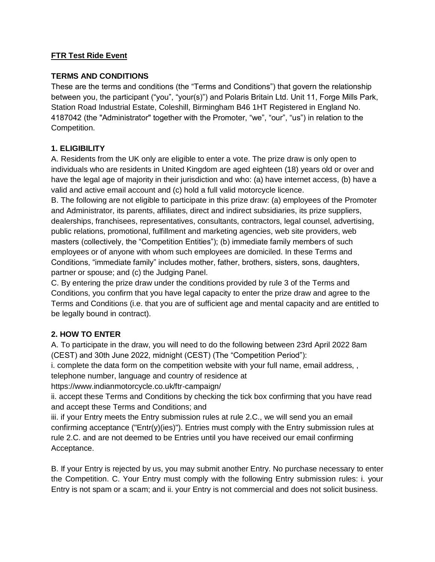# **FTR Test Ride Event**

## **TERMS AND CONDITIONS**

These are the terms and conditions (the "Terms and Conditions") that govern the relationship between you, the participant ("you", "your(s)") and Polaris Britain Ltd. Unit 11, Forge Mills Park, Station Road Industrial Estate, Coleshill, Birmingham B46 1HT Registered in England No. 4187042 (the "Administrator" together with the Promoter, "we", "our", "us") in relation to the Competition.

## **1. ELIGIBILITY**

A. Residents from the UK only are eligible to enter a vote. The prize draw is only open to individuals who are residents in United Kingdom are aged eighteen (18) years old or over and have the legal age of majority in their jurisdiction and who: (a) have internet access, (b) have a valid and active email account and (c) hold a full valid motorcycle licence.

B. The following are not eligible to participate in this prize draw: (a) employees of the Promoter and Administrator, its parents, affiliates, direct and indirect subsidiaries, its prize suppliers, dealerships, franchisees, representatives, consultants, contractors, legal counsel, advertising, public relations, promotional, fulfillment and marketing agencies, web site providers, web masters (collectively, the "Competition Entities"); (b) immediate family members of such employees or of anyone with whom such employees are domiciled. In these Terms and Conditions, "immediate family" includes mother, father, brothers, sisters, sons, daughters, partner or spouse; and (c) the Judging Panel.

C. By entering the prize draw under the conditions provided by rule 3 of the Terms and Conditions, you confirm that you have legal capacity to enter the prize draw and agree to the Terms and Conditions (i.e. that you are of sufficient age and mental capacity and are entitled to be legally bound in contract).

## **2. HOW TO ENTER**

A. To participate in the draw, you will need to do the following between 23rd April 2022 8am (CEST) and 30th June 2022, midnight (CEST) (The "Competition Period"):

i. complete the data form on the competition website with your full name, email address, , telephone number, language and country of residence at

https://www.indianmotorcycle.co.uk/ftr-campaign/

ii. accept these Terms and Conditions by checking the tick box confirming that you have read and accept these Terms and Conditions; and

iii. if your Entry meets the Entry submission rules at rule 2.C., we will send you an email confirming acceptance ("Entr(y)(ies)"). Entries must comply with the Entry submission rules at rule 2.C. and are not deemed to be Entries until you have received our email confirming Acceptance.

B. If your Entry is rejected by us, you may submit another Entry. No purchase necessary to enter the Competition. C. Your Entry must comply with the following Entry submission rules: i. your Entry is not spam or a scam; and ii. your Entry is not commercial and does not solicit business.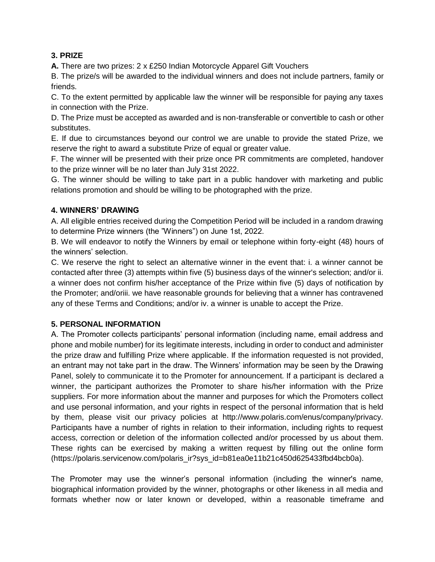## **3. PRIZE**

**A.** There are two prizes: 2 x £250 Indian Motorcycle Apparel Gift Vouchers

B. The prize/s will be awarded to the individual winners and does not include partners, family or friends.

C. To the extent permitted by applicable law the winner will be responsible for paying any taxes in connection with the Prize.

D. The Prize must be accepted as awarded and is non-transferable or convertible to cash or other substitutes.

E. If due to circumstances beyond our control we are unable to provide the stated Prize, we reserve the right to award a substitute Prize of equal or greater value.

F. The winner will be presented with their prize once PR commitments are completed, handover to the prize winner will be no later than July 31st 2022.

G. The winner should be willing to take part in a public handover with marketing and public relations promotion and should be willing to be photographed with the prize.

#### **4. WINNERS' DRAWING**

A. All eligible entries received during the Competition Period will be included in a random drawing to determine Prize winners (the "Winners") on June 1st, 2022.

B. We will endeavor to notify the Winners by email or telephone within forty-eight (48) hours of the winners' selection.

C. We reserve the right to select an alternative winner in the event that: i. a winner cannot be contacted after three (3) attempts within five (5) business days of the winner's selection; and/or ii. a winner does not confirm his/her acceptance of the Prize within five (5) days of notification by the Promoter; and/oriii. we have reasonable grounds for believing that a winner has contravened any of these Terms and Conditions; and/or iv. a winner is unable to accept the Prize.

## **5. PERSONAL INFORMATION**

A. The Promoter collects participants' personal information (including name, email address and phone and mobile number) for its legitimate interests, including in order to conduct and administer the prize draw and fulfilling Prize where applicable. If the information requested is not provided, an entrant may not take part in the draw. The Winners' information may be seen by the Drawing Panel, solely to communicate it to the Promoter for announcement. If a participant is declared a winner, the participant authorizes the Promoter to share his/her information with the Prize suppliers. For more information about the manner and purposes for which the Promoters collect and use personal information, and your rights in respect of the personal information that is held by them, please visit our privacy policies at http://www.polaris.com/enus/company/privacy. Participants have a number of rights in relation to their information, including rights to request access, correction or deletion of the information collected and/or processed by us about them. These rights can be exercised by making a written request by filling out the online form (https://polaris.servicenow.com/polaris\_ir?sys\_id=b81ea0e11b21c450d625433fbd4bcb0a).

The Promoter may use the winner's personal information (including the winner's name, biographical information provided by the winner, photographs or other likeness in all media and formats whether now or later known or developed, within a reasonable timeframe and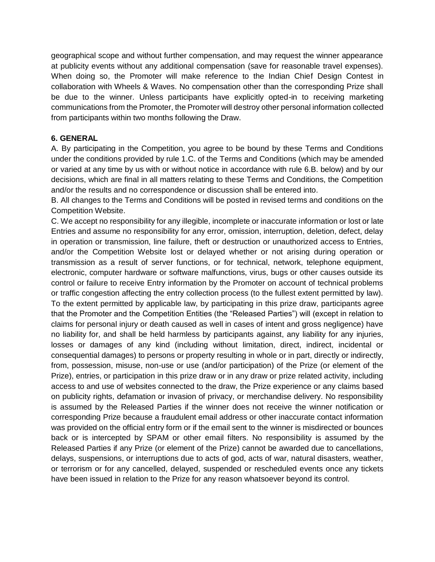geographical scope and without further compensation, and may request the winner appearance at publicity events without any additional compensation (save for reasonable travel expenses). When doing so, the Promoter will make reference to the Indian Chief Design Contest in collaboration with Wheels & Waves. No compensation other than the corresponding Prize shall be due to the winner. Unless participants have explicitly opted-in to receiving marketing communications from the Promoter, the Promoter will destroy other personal information collected from participants within two months following the Draw.

#### **6. GENERAL**

A. By participating in the Competition, you agree to be bound by these Terms and Conditions under the conditions provided by rule 1.C. of the Terms and Conditions (which may be amended or varied at any time by us with or without notice in accordance with rule 6.B. below) and by our decisions, which are final in all matters relating to these Terms and Conditions, the Competition and/or the results and no correspondence or discussion shall be entered into.

B. All changes to the Terms and Conditions will be posted in revised terms and conditions on the Competition Website.

C. We accept no responsibility for any illegible, incomplete or inaccurate information or lost or late Entries and assume no responsibility for any error, omission, interruption, deletion, defect, delay in operation or transmission, line failure, theft or destruction or unauthorized access to Entries, and/or the Competition Website lost or delayed whether or not arising during operation or transmission as a result of server functions, or for technical, network, telephone equipment, electronic, computer hardware or software malfunctions, virus, bugs or other causes outside its control or failure to receive Entry information by the Promoter on account of technical problems or traffic congestion affecting the entry collection process (to the fullest extent permitted by law). To the extent permitted by applicable law, by participating in this prize draw, participants agree that the Promoter and the Competition Entities (the "Released Parties") will (except in relation to claims for personal injury or death caused as well in cases of intent and gross negligence) have no liability for, and shall be held harmless by participants against, any liability for any injuries, losses or damages of any kind (including without limitation, direct, indirect, incidental or consequential damages) to persons or property resulting in whole or in part, directly or indirectly, from, possession, misuse, non-use or use (and/or participation) of the Prize (or element of the Prize), entries, or participation in this prize draw or in any draw or prize related activity, including access to and use of websites connected to the draw, the Prize experience or any claims based on publicity rights, defamation or invasion of privacy, or merchandise delivery. No responsibility is assumed by the Released Parties if the winner does not receive the winner notification or corresponding Prize because a fraudulent email address or other inaccurate contact information was provided on the official entry form or if the email sent to the winner is misdirected or bounces back or is intercepted by SPAM or other email filters. No responsibility is assumed by the Released Parties if any Prize (or element of the Prize) cannot be awarded due to cancellations, delays, suspensions, or interruptions due to acts of god, acts of war, natural disasters, weather, or terrorism or for any cancelled, delayed, suspended or rescheduled events once any tickets have been issued in relation to the Prize for any reason whatsoever beyond its control.